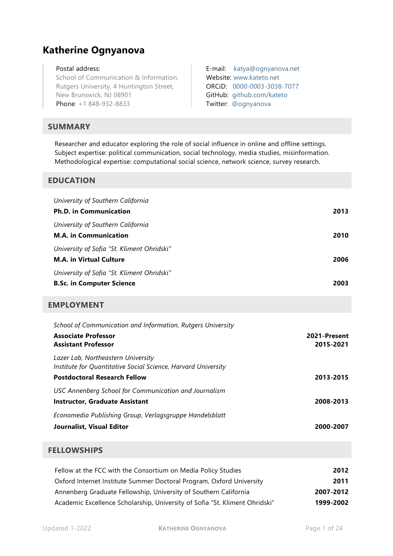# **Katherine Ognyanova**

#### Postal address:

School of Communication & Information, Rutgers University, 4 Huntington Street, New Brunswick, NJ 08901 Phone: +1 848-932-8833

# **SUMMARY**

Researcher and educator exploring the role of social influence in online and offline settings. Subject expertise: political communication, social technology, media studies, misinformation. Methodological expertise: computational social science, network science, survey research.

E-mail: [katya@ognyanova.net](mailto:katya@ognyanova.net)

Website: [www.kateto.net](http://www.kateto.net/) ORCiD: [0000-0003-3038-7077](https://orcid.org/0000-0003-3038-7077) GitHub: [github.com/kateto](http://www.github.com/kateto) Twitter: [@ognyanova](http://www.twitter.com/ognyanova)

### **EDUCATION**

| University of Southern California                             |              |
|---------------------------------------------------------------|--------------|
| <b>Ph.D. in Communication</b>                                 | 2013         |
| University of Southern California                             |              |
| <b>M.A. in Communication</b>                                  | 2010         |
| University of Sofia "St. Kliment Ohridski"                    |              |
| <b>M.A. in Virtual Culture</b>                                | 2006         |
| University of Sofia "St. Kliment Ohridski"                    |              |
| <b>B.Sc. in Computer Science</b>                              | 2003         |
| <b>EMPLOYMENT</b>                                             |              |
| School of Communication and Information, Rutgers University   |              |
| <b>Associate Professor</b>                                    | 2021-Present |
| <b>Assistant Professor</b>                                    | 2015-2021    |
| Lazer Lab, Northeastern University                            |              |
| Institute for Quantitative Social Science, Harvard University |              |
| <b>Postdoctoral Research Fellow</b>                           | 2013-2015    |
| USC Annenberg School for Communication and Journalism         |              |
| <b>Instructor, Graduate Assistant</b>                         | 2008-2013    |
| Economedia Publishing Group, Verlagsgruppe Handelsblatt       |              |
| Journalist, Visual Editor                                     | 2000-2007    |
|                                                               |              |

# **FELLOWSHIPS**

| Fellow at the FCC with the Consortium on Media Policy Studies               | 2012      |
|-----------------------------------------------------------------------------|-----------|
| Oxford Internet Institute Summer Doctoral Program, Oxford University        | 2011      |
| Annenberg Graduate Fellowship, University of Southern California            | 2007-2012 |
| Academic Excellence Scholarship, University of Sofia "St. Kliment Ohridski" | 1999-2002 |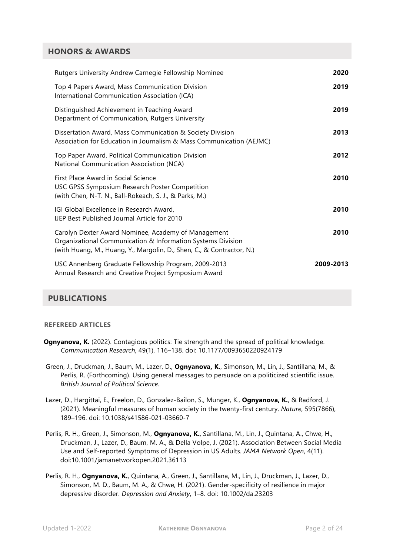# **HONORS & AWARDS**

| Rutgers University Andrew Carnegie Fellowship Nominee                                                                                                                                       | 2020      |
|---------------------------------------------------------------------------------------------------------------------------------------------------------------------------------------------|-----------|
| Top 4 Papers Award, Mass Communication Division<br>International Communication Association (ICA)                                                                                            | 2019      |
| Distinguished Achievement in Teaching Award<br>Department of Communication, Rutgers University                                                                                              | 2019      |
| Dissertation Award, Mass Communication & Society Division<br>Association for Education in Journalism & Mass Communication (AEJMC)                                                           | 2013      |
| Top Paper Award, Political Communication Division<br>National Communication Association (NCA)                                                                                               | 2012      |
| First Place Award in Social Science<br>USC GPSS Symposium Research Poster Competition<br>(with Chen, N-T. N., Ball-Rokeach, S. J., & Parks, M.)                                             | 2010      |
| IGI Global Excellence in Research Award,<br><b>IJEP Best Published Journal Article for 2010</b>                                                                                             | 2010      |
| Carolyn Dexter Award Nominee, Academy of Management<br>Organizational Communication & Information Systems Division<br>(with Huang, M., Huang, Y., Margolin, D., Shen, C., & Contractor, N.) | 2010      |
| USC Annenberg Graduate Fellowship Program, 2009-2013<br>Annual Research and Creative Project Symposium Award                                                                                | 2009-2013 |

# **PUBLICATIONS**

#### **REFEREED ARTICLES**

- **Ognyanova, K.** (2022). Contagious politics: Tie strength and the spread of political knowledge. *Communication Research*, 49(1), 116–138. doi: 10.1177/0093650220924179
- Green, J., Druckman, J., Baum, M., Lazer, D., **Ognyanova, K.**, Simonson, M., Lin, J., Santillana, M., & Perlis, R. (Forthcoming). Using general messages to persuade on a politicized scientific issue. *British Journal of Political Science*.
- Lazer, D., Hargittai, E., Freelon, D., Gonzalez-Bailon, S., Munger, K., **Ognyanova, K.**, & Radford, J. (2021). Meaningful measures of human society in the twenty-first century. *Nature*, 595(7866), 189–196. doi: 10.1038/s41586-021-03660-7
- Perlis, R. H., Green, J., Simonson, M., **Ognyanova, K.**, Santillana, M., Lin, J., Quintana, A., Chwe, H., Druckman, J., Lazer, D., Baum, M. A., & Della Volpe, J. (2021). Association Between Social Media Use and Self-reported Symptoms of Depression in US Adults. *JAMA Network Open*, 4(11). doi:10.1001/jamanetworkopen.2021.36113
- Perlis, R. H., **Ognyanova, K.**, Quintana, A., Green, J., Santillana, M., Lin, J., Druckman, J., Lazer, D., Simonson, M. D., Baum, M. A., & Chwe, H. (2021). Gender-specificity of resilience in major depressive disorder. *Depression and Anxiety*, 1–8. doi: 10.1002/da.23203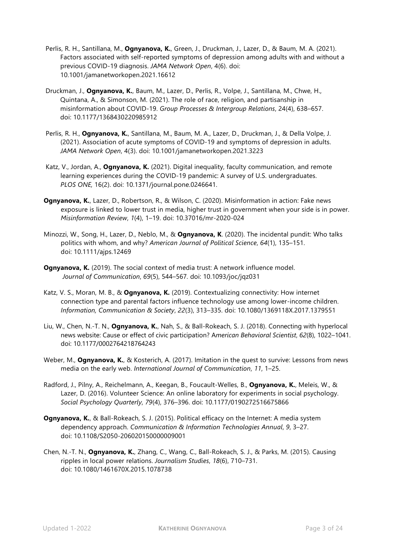- Perlis, R. H., Santillana, M., **Ognyanova, K.**, Green, J., Druckman, J., Lazer, D., & Baum, M. A. (2021). Factors associated with self-reported symptoms of depression among adults with and without a previous COVID-19 diagnosis. *JAMA Network Open*, 4(6). doi: 10.1001/jamanetworkopen.2021.16612
- Druckman, J., **Ognyanova, K.**, Baum, M., Lazer, D., Perlis, R., Volpe, J., Santillana, M., Chwe, H., Quintana, A., & Simonson, M. (2021). The role of race, religion, and partisanship in misinformation about COVID-19. *Group Processes & Intergroup Relations*, 24(4), 638–657. doi: 10.1177/1368430220985912
- Perlis, R. H., **Ognyanova, K.**, Santillana, M., Baum, M. A., Lazer, D., Druckman, J., & Della Volpe, J. (2021). Association of acute symptoms of COVID-19 and symptoms of depression in adults. *JAMA Network Open*, 4(3). doi: 10.1001/jamanetworkopen.2021.3223
- Katz, V., Jordan, A., **Ognyanova, K.** (2021). Digital inequality, faculty communication, and remote learning experiences during the COVID-19 pandemic: A survey of U.S. undergraduates. *PLOS ONE,* 16(2). doi: 10.1371/journal.pone.0246641.
- **Ognyanova, K.**, Lazer, D., Robertson, R., & Wilson, C. (2020). Misinformation in action: Fake news exposure is linked to lower trust in media, higher trust in government when your side is in power. *Misinformation Review*, *1*(4), 1–19. doi: 10.37016/mr-2020-024
- Minozzi, W., Song, H., Lazer, D., Neblo, M., & **Ognyanova, K**. (2020). The incidental pundit: Who talks politics with whom, and why? *American Journal of Political Science*, *64*(1), 135–151. doi: 10.1111/ajps.12469
- **Ognyanova, K.** (2019). The social context of media trust: A network influence model. *Journal of Communication*, *69*(5), 544–567*.* doi: 10.1093/joc/jqz031
- Katz, V. S., Moran, M. B., & **Ognyanova, K.** (2019). Contextualizing connectivity: How internet connection type and parental factors influence technology use among lower-income children. *Information, Communication & Society*, *22*(3), 313–335. doi: 10.1080/1369118X.2017.1379551
- Liu, W., Chen, N.-T. N., **Ognyanova, K.**, Nah, S., & Ball-Rokeach, S. J. (2018). Connecting with hyperlocal news website: Cause or effect of civic participation? A*merican Behavioral Scientist*, *62*(8), 1022–1041. doi: 10.1177/0002764218764243
- Weber, M., **Ognyanova, K.**, & Kosterich, A. (2017). Imitation in the quest to survive: Lessons from news media on the early web. *International Journal of Communication*, *11*, 1–25.
- Radford, J., Pilny, A., Reichelmann, A., Keegan, B., Foucault-Welles, B., **Ognyanova, K.**, Meleis, W., & Lazer, D. (2016). Volunteer Science: An online laboratory for experiments in social psychology. *Social Psychology Quarterly*, *79*(4), 376–396. doi: 10.1177/0190272516675866
- **Ognyanova, K., & Ball-Rokeach, S. J. (2015). Political efficacy on the Internet: A media system** dependency approach. *Communication & Information Technologies Annual*, *9*, 3–27. doi: 10.1108/S2050-206020150000009001
- Chen, N.-T. N., **Ognyanova, K.**, Zhang, C., Wang, C., Ball-Rokeach, S. J., & Parks, M. (2015). Causing ripples in local power relations. *Journalism Studies*, *18*(6), 710–731. doi: 10.1080/1461670X.2015.1078738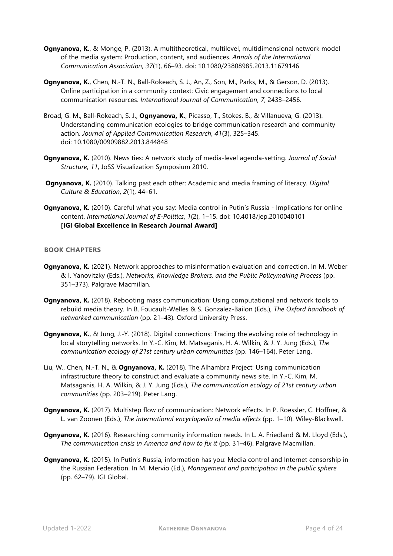- **Ognyanova, K.**, & Monge, P. (2013). A multitheoretical, multilevel, multidimensional network model of the media system: Production, content, and audiences. *Annals of the International Communication Association, 37*(1), 66–93. doi: 10.1080/23808985.2013.11679146
- **Ognyanova, K.**, Chen, N.-T. N., Ball-Rokeach, S. J., An, Z., Son, M., Parks, M., & Gerson, D. (2013). Online participation in a community context: Civic engagement and connections to local communication resources. *International Journal of Communication*, *7*, 2433–2456.
- Broad, G. M., Ball-Rokeach, S. J., **Ognyanova, K.**, Picasso, T., Stokes, B., & Villanueva, G. (2013). Understanding communication ecologies to bridge communication research and community action. *Journal of Applied Communication Research*, *41*(3), 325–345. doi: 10.1080/00909882.2013.844848
- **Ognyanova, K.** (2010). News ties: A network study of media-level agenda-setting. *Journal of Social Structure*, *11*, JoSS Visualization Symposium 2010.
- **Ognyanova, K.** (2010). Talking past each other: Academic and media framing of literacy. *Digital Culture & Education*, *2*(1), 44–61.
- **Ognyanova, K.** (2010). Careful what you say: Media control in Putin's Russia Implications for online content. *International Journal of E-Politics*, *1*(2), 1–15. doi: 10.4018/jep.2010040101 **[IGI Global Excellence in Research Journal Award]**

#### **BOOK CHAPTERS**

- **Ognyanova, K.** (2021). Network approaches to misinformation evaluation and correction. In M. Weber & I. Yanovitzky (Eds.), *Networks, Knowledge Brokers, and the Public Policymaking Process* (pp. 351–373). Palgrave Macmillan.
- **Ognyanova, K.** (2018). Rebooting mass communication: Using computational and network tools to rebuild media theory. In B. Foucault-Welles & S. Gonzalez-Bailon (Eds.), *The Oxford handbook of networked communication* (pp. 21–43)*.* Oxford University Press.
- **Ognyanova, K., & Jung, J.-Y. (2018). Digital connections: Tracing the evolving role of technology in** local storytelling networks. In Y.-C. Kim, M. Matsaganis, H. A. Wilkin, & J. Y. Jung (Eds.), *The communication ecology of 21st century urban communities* (pp. 146–164). Peter Lang.
- Liu, W., Chen, N.-T. N., & **Ognyanova, K.** (2018). The Alhambra Project: Using communication infrastructure theory to construct and evaluate a community news site. In Y.-C. Kim, M. Matsaganis, H. A. Wilkin, & J. Y. Jung (Eds.), *The communication ecology of 21st century urban communities* (pp. 203–219). Peter Lang.
- **Ognyanova, K.** (2017). Multistep flow of communication: Network effects. In P. Roessler, C. Hoffner, & L. van Zoonen (Eds.), *The international encyclopedia of media effects* (pp. 1–10). Wiley-Blackwell.
- **Ognyanova, K.** (2016). Researching community information needs. In L. A. Friedland & M. Lloyd (Eds.), *The communication crisis in America and how to fix it* (pp. 31–46). Palgrave Macmillan.
- **Ognyanova, K.** (2015). In Putin's Russia, information has you: Media control and Internet censorship in the Russian Federation. In M. Mervio (Ed.), *Management and participation in the public sphere* (pp. 62–79). IGI Global.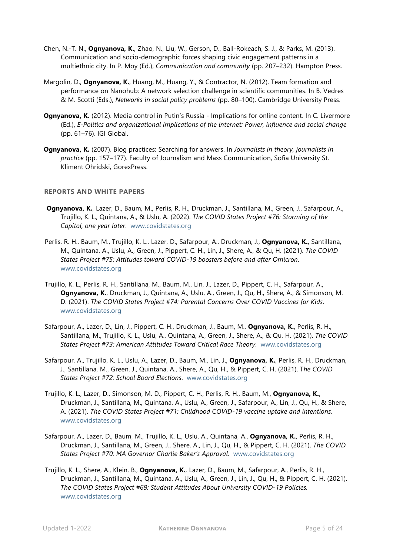- Chen, N.-T. N., **Ognyanova, K.**, Zhao, N., Liu, W., Gerson, D., Ball-Rokeach, S. J., & Parks, M. (2013). Communication and socio-demographic forces shaping civic engagement patterns in a multiethnic city. In P. Moy (Ed.), *Communication and community* (pp. 207–232). Hampton Press.
- Margolin, D., **Ognyanova, K.**, Huang, M., Huang, Y., & Contractor, N. (2012). Team formation and performance on Nanohub: A network selection challenge in scientific communities. In B. Vedres & M. Scotti (Eds.), *Networks in social policy problems* (pp. 80–100). Cambridge University Press.
- **Ognyanova, K.** (2012). Media control in Putin's Russia Implications for online content. In C. Livermore (Ed.), *E-Politics and organizational implications of the internet: Power, influence and social change* (pp. 61–76). IGI Global.
- **Ognyanova, K.** (2007). Blog practices: Searching for answers. In *Journalists in theory, journalists in practice* (pp. 157–177). Faculty of Journalism and Mass Communication, Sofia University St. Kliment Ohridski, GorexPress.

#### **REPORTS AND WHITE PAPERS**

- **Ognyanova, K.**, Lazer, D., Baum, M., Perlis, R. H., Druckman, J., Santillana, M., Green, J., Safarpour, A., Trujillo, K. L., Quintana, A., & Uslu, A. (2022). *The COVID States Project #76: Storming of the Capitol, one year later*. [www.covidstates.org](https://covidstates.org/)
- Perlis, R. H., Baum, M., Trujillo, K. L., Lazer, D., Safarpour, A., Druckman, J., **Ognyanova, K.**, Santillana, M., Quintana, A., Uslu, A., Green, J., Pippert, C. H., Lin, J., Shere, A., & Qu, H. (2021). *The COVID States Project #75: Attitudes toward COVID-19 boosters before and after Omicron*. [www.covidstates.org](https://covidstates.org/)
- Trujillo, K. L., Perlis, R. H., Santillana, M., Baum, M., Lin, J., Lazer, D., Pippert, C. H., Safarpour, A., **Ognyanova, K.**, Druckman, J., Quintana, A., Uslu, A., Green, J., Qu, H., Shere, A., & Simonson, M. D. (2021). *The COVID States Project #74: Parental Concerns Over COVID Vaccines for Kids*. [www.covidstates.org](https://covidstates.org/)
- Safarpour, A., Lazer, D., Lin, J., Pippert, C. H., Druckman, J., Baum, M., **Ognyanova, K.**, Perlis, R. H., Santillana, M., Trujillo, K. L., Uslu, A., Quintana, A., Green, J., Shere, A., & Qu, H. (2021). *The COVID States Project #73: American Attitudes Toward Critical Race Theory*. [www.covidstates.org](https://covidstates.org/)
- Safarpour, A., Trujillo, K. L., Uslu, A., Lazer, D., Baum, M., Lin, J., **Ognyanova, K.**, Perlis, R. H., Druckman, J., Santillana, M., Green, J., Quintana, A., Shere, A., Qu, H., & Pippert, C. H. (2021). T*he COVID States Project #72: School Board Elections*. [www.covidstates.org](https://covidstates.org/)
- Trujillo, K. L., Lazer, D., Simonson, M. D., Pippert, C. H., Perlis, R. H., Baum, M., **Ognyanova, K.**, Druckman, J., Santillana, M., Quintana, A., Uslu, A., Green, J., Safarpour, A., Lin, J., Qu, H., & Shere, A. (2021). *The COVID States Project #71: Childhood COVID-19 vaccine uptake and intentions*. [www.covidstates.org](https://covidstates.org/)
- Safarpour, A., Lazer, D., Baum, M., Trujillo, K. L., Uslu, A., Quintana, A., **Ognyanova, K.**, Perlis, R. H., Druckman, J., Santillana, M., Green, J., Shere, A., Lin, J., Qu, H., & Pippert, C. H. (2021). *The COVID States Project #70: MA Governor Charlie Baker's Approval*. [www.covidstates.org](https://covidstates.org/)
- Trujillo, K. L., Shere, A., Klein, B., **Ognyanova, K.**, Lazer, D., Baum, M., Safarpour, A., Perlis, R. H., Druckman, J., Santillana, M., Quintana, A., Uslu, A., Green, J., Lin, J., Qu, H., & Pippert, C. H. (2021). *The COVID States Project #69: Student Attitudes About University COVID-19 Policies.* [www.covidstates.org](https://covidstates.org/)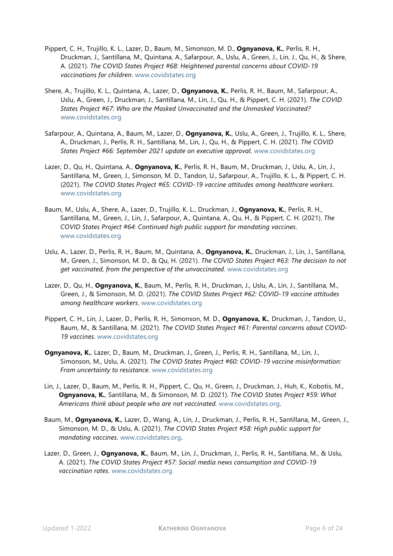- Pippert, C. H., Trujillo, K. L., Lazer, D., Baum, M., Simonson, M. D., **Ognyanova, K.**, Perlis, R. H., Druckman, J., Santillana, M., Quintana, A., Safarpour, A., Uslu, A., Green, J., Lin, J., Qu, H., & Shere, A. (2021). *The COVID States Project #68: Heightened parental concerns about COVID-19 vaccinations for children*. [www.covidstates.org](https://covidstates.org/)
- Shere, A., Trujillo, K. L., Quintana, A., Lazer, D., **Ognyanova, K.**, Perlis, R. H., Baum, M., Safarpour, A., Uslu, A., Green, J., Druckman, J., Santillana, M., Lin, J., Qu, H., & Pippert, C. H. (2021). *The COVID States Project #67: Who are the Masked Unvaccinated and the Unmasked Vaccinated?*  [www.covidstates.org](https://covidstates.org/)
- Safarpour, A., Quintana, A., Baum, M., Lazer, D., **Ognyanova, K.**, Uslu, A., Green, J., Trujillo, K. L., Shere, A., Druckman, J., Perlis, R. H., Santillana, M., Lin, J., Qu, H., & Pippert, C. H. (2021). *The COVID States Project #66: September 2021 update on executive approval*. [www.covidstates.org](https://covidstates.org/)
- Lazer, D., Qu, H., Quintana, A., **Ognyanova, K.**, Perlis, R. H., Baum, M., Druckman, J., Uslu, A., Lin, J., Santillana, M., Green, J., Simonson, M. D., Tandon, U., Safarpour, A., Trujillo, K. L., & Pippert, C. H. (2021). *The COVID States Project #65: COVID-19 vaccine attitudes among healthcare workers*. [www.covidstates.org](https://covidstates.org/)
- Baum, M., Uslu, A., Shere, A., Lazer, D., Trujillo, K. L., Druckman, J., **Ognyanova, K.**, Perlis, R. H., Santillana, M., Green, J., Lin, J., Safarpour, A., Quintana, A., Qu, H., & Pippert, C. H. (2021). *The COVID States Project #64: Continued high public support for mandating vaccines*. [www.covidstates.org](https://covidstates.org/)
- Uslu, A., Lazer, D., Perlis, R. H., Baum, M., Quintana, A., **Ognyanova, K.**, Druckman, J., Lin, J., Santillana, M., Green, J., Simonson, M. D., & Qu, H. (2021). *The COVID States Project #63: The decision to not get vaccinated, from the perspective of the unvaccinated*. [www.covidstates.org](https://covidstates.org/)
- Lazer, D., Qu, H., **Ognyanova, K.**, Baum, M., Perlis, R. H., Druckman, J., Uslu, A., Lin, J., Santillana, M., Green, J., & Simonson, M. D. (2021). *The COVID States Project #62: COVID-19 vaccine attitudes among healthcare workers*. [www.covidstates.org](https://covidstates.org/)
- Pippert, C. H., Lin, J., Lazer, D., Perlis, R. H., Simonson, M. D., **Ognyanova, K.**, Druckman, J., Tandon, U., Baum, M., & Santillana, M. (2021). *The COVID States Project #61: Parental concerns about COVID-19 vaccines*. [www.covidstates.org](https://covidstates.org/)
- **Ognyanova, K.**, Lazer, D., Baum, M., Druckman, J., Green, J., Perlis, R. H., Santillana, M., Lin, J., Simonson, M., Uslu, A. (2021). *The COVID States Project #60: COVID-19 vaccine misinformation: From uncertainty to resistance*. [www.covidstates.org](https://covidstates.org/)
- Lin, J., Lazer, D., Baum, M., Perlis, R. H., Pippert, C., Qu, H., Green, J., Druckman, J., Huh, K., Kobotis, M., **Ognyanova, K.**, Santillana, M., & Simonson, M. D. (2021). *The COVID States Project #59: What Americans think about people who are not vaccinated.* [www.covidstates.org.](https://covidstates.org/)
- Baum, M., **Ognyanova, K.**, Lazer, D., Wang, A., Lin, J., Druckman, J., Perlis, R. H., Santillana, M., Green, J., Simonson, M. D., & Uslu, A. (2021). *The COVID States Project #58: High public support for mandating vaccines.* [www.covidstates.org.](https://covidstates.org/)
- Lazer, D., Green, J., **Ognyanova, K.**, Baum, M., Lin, J., Druckman, J., Perlis, R. H., Santillana, M., & Uslu, A. (2021). *The COVID States Project #57: Social media news consumption and COVID-19 vaccination rates*. [www.covidstates.org](https://covidstates.org/)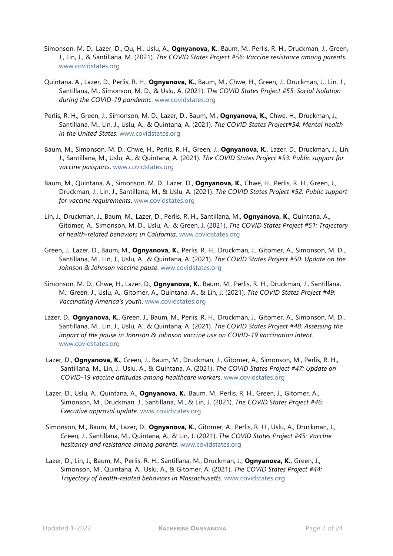- Simonson, M. D., Lazer, D., Qu, H., Uslu, A., **Ognyanova, K.**, Baum, M., Perlis, R. H., Druckman, J., Green, J., Lin, J., & Santillana, M. (2021). *The COVID States Project #56: Vaccine resistance among parents.* [www.covidstates.org](https://covidstates.org/)
- Quintana, A., Lazer, D., Perlis, R. H., **Ognyanova, K.**, Baum, M., Chwe, H., Green, J., Druckman, J., Lin, J., Santillana, M., Simonson, M. D., & Uslu, A. (2021). *The COVID States Project #55: Social Isolation during the COVID-19 pandemic*. [www.covidstates.org](https://covidstates.org/)
- Perlis, R. H., Green, J., Simonson, M. D., Lazer, D., Baum, M., **Ognyanova, K.**, Chwe, H., Druckman, J., Santillana, M., Lin, J., Uslu, A., & Quintana, A. (2021). *The COVID States Project#54: Mental health in the United States*. [www.covidstates.org](https://covidstates.org/)
- Baum, M., Simonson, M. D., Chwe, H., Perlis, R. H., Green, J., **Ognyanova, K.**, Lazer, D., Druckman, J., Lin, J., Santillana, M., Uslu, A., & Quintana, A. (2021). *The COVID States Project #53: Public support for vaccine passports*. [www.covidstates.org](https://covidstates.org/)
- Baum, M., Quintana, A., Simonson, M. D., Lazer, D., **Ognyanova, K.**, Chwe, H., Perlis, R. H., Green, J., Druckman, J., Lin, J., Santillana, M., & Uslu, A. (2021). *The COVID States Project #52: Public support for vaccine requirements*. [www.covidstates.org](https://covidstates.org/)
- Lin, J., Druckman, J., Baum, M., Lazer, D., Perlis, R. H., Santillana, M., **Ognyanova, K.**, Quintana, A., Gitomer, A., Simonson, M. D., Uslu, A., & Green, J. (2021). *The COVID States Project #51: Trajectory of health-related behaviors in California*. [www.covidstates.org](https://covidstates.org/)
- Green, J., Lazer, D., Baum, M., **Ognyanova, K.**, Perlis, R. H., Druckman, J., Gitomer, A., Simonson, M. D., Santillana, M., Lin, J., Uslu, A., & Quintana, A. (2021). *The COVID States Project #50: Update on the Johnson & Johnson vaccine pause*. [www.covidstates.org](https://covidstates.org/)
- Simonson, M. D., Chwe, H., Lazer, D., **Ognyanova, K.**, Baum, M., Perlis, R. H., Druckman, J., Santillana, M., Green, J., Uslu, A., Gitomer, A., Quintana, A., & Lin, J. (2021). *The COVID States Project #49: Vaccinating America's youth*. [www.covidstates.org](https://covidstates.org/)
- Lazer, D., **Ognyanova, K.**, Green, J., Baum, M., Perlis, R. H., Druckman, J., Gitomer, A., Simonson, M. D., Santillana, M., Lin, J., Uslu, A., & Quintana, A. (2021). *The COVID States Project #48: Assessing the impact of the pause in Johnson & Johnson vaccine use on COVID-19 vaccination intent*. [www.covidstates.org](https://covidstates.org/)
- Lazer, D., **Ognyanova, K.**, Green, J., Baum, M., Druckman, J., Gitomer, A., Simonson, M., Perlis, R. H., Santillana, M., Lin, J., Uslu, A., & Quintana, A. (2021). *The COVID States Project #47: Update on COVID-19 vaccine attitudes among healthcare workers*. [www.covidstates.org](https://covidstates.org/)
- Lazer, D., Uslu, A., Quintana, A., **Ognyanova, K.**, Baum, M., Perlis, R. H., Green, J., Gitomer, A., Simonson, M., Druckman, J., Santillana, M., & Lin, J. (2021). *The COVID States Project #46: Executive approval update*. [www.covidstates.org](https://covidstates.org/)
- Simonson, M., Baum, M., Lazer, D., **Ognyanova, K.**, Gitomer, A., Perlis, R. H., Uslu, A., Druckman, J., Green, J., Santillana, M., Quintana, A., & Lin, J. (2021). *The COVID States Project #45: Vaccine hesitancy and resistance among parents*. [www.covidstates.org](https://covidstates.org/)
- Lazer, D., Lin, J., Baum, M., Perlis, R. H., Santillana, M., Druckman, J., **Ognyanova, K.**, Green, J., Simonson, M., Quintana, A., Uslu, A., & Gitomer, A. (2021). *The COVID States Project #44: Trajectory of health-related behaviors in Massachusetts*. [www.covidstates.org](https://covidstates.org/)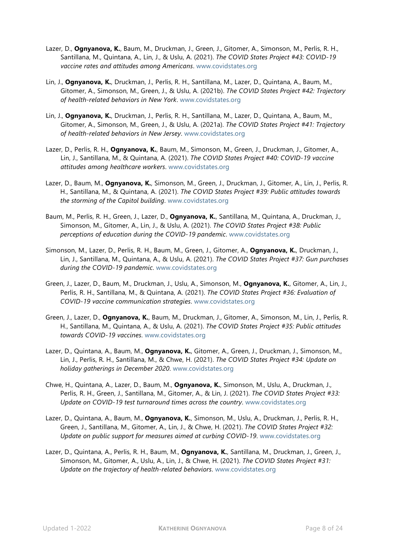- Lazer, D., **Ognyanova, K.**, Baum, M., Druckman, J., Green, J., Gitomer, A., Simonson, M., Perlis, R. H., Santillana, M., Quintana, A., Lin, J., & Uslu, A. (2021). *The COVID States Project #43: COVID-19 vaccine rates and attitudes among Americans*. [www.covidstates.org](https://covidstates.org/)
- Lin, J., **Ognyanova, K.**, Druckman, J., Perlis, R. H., Santillana, M., Lazer, D., Quintana, A., Baum, M., Gitomer, A., Simonson, M., Green, J., & Uslu, A. (2021b). *The COVID States Project #42: Trajectory of health-related behaviors in New York*. [www.covidstates.org](https://covidstates.org/)
- Lin, J., **Ognyanova, K.**, Druckman, J., Perlis, R. H., Santillana, M., Lazer, D., Quintana, A., Baum, M., Gitomer, A., Simonson, M., Green, J., & Uslu, A. (2021a). *The COVID States Project #41: Trajectory of health-related behaviors in New Jersey*. [www.covidstates.org](https://covidstates.org/)
- Lazer, D., Perlis, R. H., **Ognyanova, K.**, Baum, M., Simonson, M., Green, J., Druckman, J., Gitomer, A., Lin, J., Santillana, M., & Quintana, A. (2021). *The COVID States Project #40: COVID-19 vaccine attitudes among healthcare workers*. [www.covidstates.org](https://covidstates.org/)
- Lazer, D., Baum, M., **Ognyanova, K.**, Simonson, M., Green, J., Druckman, J., Gitomer, A., Lin, J., Perlis, R. H., Santillana, M., & Quintana, A. (2021). *The COVID States Project #39: Public attitudes towards the storming of the Capitol building*. [www.covidstates.org](https://covidstates.org/)
- Baum, M., Perlis, R. H., Green, J., Lazer, D., **Ognyanova, K.**, Santillana, M., Quintana, A., Druckman, J., Simonson, M., Gitomer, A., Lin, J., & Uslu, A. (2021). *The COVID States Project #38: Public perceptions of education during the COVID-19 pandemic*. [www.covidstates.org](https://covidstates.org/)
- Simonson, M., Lazer, D., Perlis, R. H., Baum, M., Green, J., Gitomer, A., **Ognyanova, K.**, Druckman, J., Lin, J., Santillana, M., Quintana, A., & Uslu, A. (2021). *The COVID States Project #37: Gun purchases during the COVID-19 pandemic*. [www.covidstates.org](https://covidstates.org/)
- Green, J., Lazer, D., Baum, M., Druckman, J., Uslu, A., Simonson, M., **Ognyanova, K.**, Gitomer, A., Lin, J., Perlis, R. H., Santillana, M., & Quintana, A. (2021). *The COVID States Project #36: Evaluation of COVID-19 vaccine communication strategies*. [www.covidstates.org](https://covidstates.org/)
- Green, J., Lazer, D., **Ognyanova, K.**, Baum, M., Druckman, J., Gitomer, A., Simonson, M., Lin, J., Perlis, R. H., Santillana, M., Quintana, A., & Uslu, A. (2021). *The COVID States Project #35: Public attitudes towards COVID-19 vaccines*. [www.covidstates.org](https://covidstates.org/)
- Lazer, D., Quintana, A., Baum, M., **Ognyanova, K.**, Gitomer, A., Green, J., Druckman, J., Simonson, M., Lin, J., Perlis, R. H., Santillana, M., & Chwe, H. (2021). *The COVID States Project #34: Update on holiday gatherings in December 2020*. [www.covidstates.org](https://covidstates.org/)
- Chwe, H., Quintana, A., Lazer, D., Baum, M., **Ognyanova, K.**, Simonson, M., Uslu, A., Druckman, J., Perlis, R. H., Green, J., Santillana, M., Gitomer, A., & Lin, J. (2021). *The COVID States Project #33: Update on COVID-19 test turnaround times across the country*. [www.covidstates.org](https://covidstates.org/)
- Lazer, D., Quintana, A., Baum, M., **Ognyanova, K.**, Simonson, M., Uslu, A., Druckman, J., Perlis, R. H., Green, J., Santillana, M., Gitomer, A., Lin, J., & Chwe, H. (2021). *The COVID States Project #32: Update on public support for measures aimed at curbing COVID-19*. [www.covidstates.org](https://covidstates.org/)
- Lazer, D., Quintana, A., Perlis, R. H., Baum, M., **Ognyanova, K.**, Santillana, M., Druckman, J., Green, J., Simonson, M., Gitomer, A., Uslu, A., Lin, J., & Chwe, H. (2021). *The COVID States Project #31: Update on the trajectory of health-related behaviors*. [www.covidstates.org](https://covidstates.org/)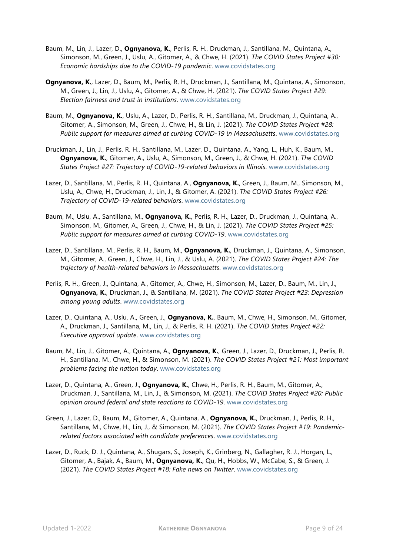- Baum, M., Lin, J., Lazer, D., **Ognyanova, K.**, Perlis, R. H., Druckman, J., Santillana, M., Quintana, A., Simonson, M., Green, J., Uslu, A., Gitomer, A., & Chwe, H. (2021). *The COVID States Project #30: Economic hardships due to the COVID-19 pandemic*. [www.covidstates.org](https://covidstates.org/)
- **Ognyanova, K.**, Lazer, D., Baum, M., Perlis, R. H., Druckman, J., Santillana, M., Quintana, A., Simonson, M., Green, J., Lin, J., Uslu, A., Gitomer, A., & Chwe, H. (2021). *The COVID States Project #29: Election fairness and trust in institutions*. [www.covidstates.org](https://covidstates.org/)
- Baum, M., **Ognyanova, K.**, Uslu, A., Lazer, D., Perlis, R. H., Santillana, M., Druckman, J., Quintana, A., Gitomer, A., Simonson, M., Green, J., Chwe, H., & Lin, J. (2021). *The COVID States Project #28: Public support for measures aimed at curbing COVID-19 in Massachusetts*. [www.covidstates.org](https://covidstates.org/)
- Druckman, J., Lin, J., Perlis, R. H., Santillana, M., Lazer, D., Quintana, A., Yang, L., Huh, K., Baum, M., **Ognyanova, K.**, Gitomer, A., Uslu, A., Simonson, M., Green, J., & Chwe, H. (2021). *The COVID States Project #27: Trajectory of COVID-19-related behaviors in Illinois*. [www.covidstates.org](https://covidstates.org/)
- Lazer, D., Santillana, M., Perlis, R. H., Quintana, A., **Ognyanova, K.**, Green, J., Baum, M., Simonson, M., Uslu, A., Chwe, H., Druckman, J., Lin, J., & Gitomer, A. (2021). *The COVID States Project #26: Trajectory of COVID-19-related behaviors*. [www.covidstates.org](https://covidstates.org/)
- Baum, M., Uslu, A., Santillana, M., **Ognyanova, K.**, Perlis, R. H., Lazer, D., Druckman, J., Quintana, A., Simonson, M., Gitomer, A., Green, J., Chwe, H., & Lin, J. (2021). *The COVID States Project #25: Public support for measures aimed at curbing COVID-19*. [www.covidstates.org](https://covidstates.org/)
- Lazer, D., Santillana, M., Perlis, R. H., Baum, M., **Ognyanova, K.**, Druckman, J., Quintana, A., Simonson, M., Gitomer, A., Green, J., Chwe, H., Lin, J., & Uslu, A. (2021). *The COVID States Project #24: The trajectory of health-related behaviors in Massachusetts*. [www.covidstates.org](https://covidstates.org/)
- Perlis, R. H., Green, J., Quintana, A., Gitomer, A., Chwe, H., Simonson, M., Lazer, D., Baum, M., Lin, J., **Ognyanova, K.**, Druckman, J., & Santillana, M. (2021). *The COVID States Project #23: Depression among young adults*. [www.covidstates.org](https://covidstates.org/)
- Lazer, D., Quintana, A., Uslu, A., Green, J., **Ognyanova, K.**, Baum, M., Chwe, H., Simonson, M., Gitomer, A., Druckman, J., Santillana, M., Lin, J., & Perlis, R. H. (2021). *The COVID States Project #22: Executive approval update*. [www.covidstates.org](https://covidstates.org/)
- Baum, M., Lin, J., Gitomer, A., Quintana, A., **Ognyanova, K.**, Green, J., Lazer, D., Druckman, J., Perlis, R. H., Santillana, M., Chwe, H., & Simonson, M. (2021). *The COVID States Project #21: Most important problems facing the nation today*. [www.covidstates.org](https://covidstates.org/)
- Lazer, D., Quintana, A., Green, J., **Ognyanova, K.**, Chwe, H., Perlis, R. H., Baum, M., Gitomer, A., Druckman, J., Santillana, M., Lin, J., & Simonson, M. (2021). *The COVID States Project #20: Public opinion around federal and state reactions to COVID-19*. [www.covidstates.org](https://covidstates.org/)
- Green, J., Lazer, D., Baum, M., Gitomer, A., Quintana, A., **Ognyanova, K.**, Druckman, J., Perlis, R. H., Santillana, M., Chwe, H., Lin, J., & Simonson, M. (2021). *The COVID States Project #19: Pandemicrelated factors associated with candidate preferences*. [www.covidstates.org](https://covidstates.org/)
- Lazer, D., Ruck, D. J., Quintana, A., Shugars, S., Joseph, K., Grinberg, N., Gallagher, R. J., Horgan, L., Gitomer, A., Bajak, A., Baum, M., **Ognyanova, K.**, Qu, H., Hobbs, W., McCabe, S., & Green, J. (2021). *The COVID States Project #18: Fake news on Twitter*. [www.covidstates.org](https://covidstates.org/)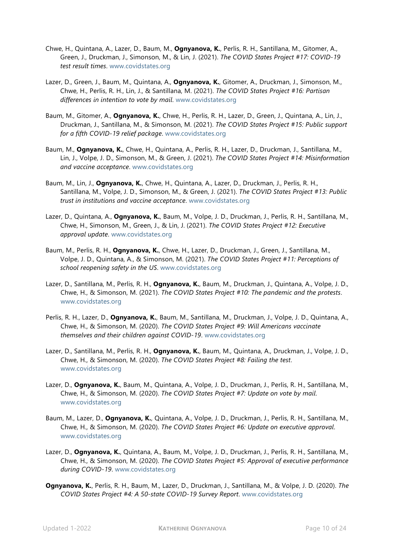- Chwe, H., Quintana, A., Lazer, D., Baum, M., **Ognyanova, K.**, Perlis, R. H., Santillana, M., Gitomer, A., Green, J., Druckman, J., Simonson, M., & Lin, J. (2021). *The COVID States Project #17: COVID-19 test result times*. [www.covidstates.org](https://covidstates.org/)
- Lazer, D., Green, J., Baum, M., Quintana, A., **Ognyanova, K.**, Gitomer, A., Druckman, J., Simonson, M., Chwe, H., Perlis, R. H., Lin, J., & Santillana, M. (2021). *The COVID States Project #16: Partisan differences in intention to vote by mail*. [www.covidstates.org](https://covidstates.org/)
- Baum, M., Gitomer, A., **Ognyanova, K.**, Chwe, H., Perlis, R. H., Lazer, D., Green, J., Quintana, A., Lin, J., Druckman, J., Santillana, M., & Simonson, M. (2021). *The COVID States Project #15: Public support for a fifth COVID-19 relief package*. [www.covidstates.org](https://covidstates.org/)
- Baum, M., **Ognyanova, K.**, Chwe, H., Quintana, A., Perlis, R. H., Lazer, D., Druckman, J., Santillana, M., Lin, J., Volpe, J. D., Simonson, M., & Green, J. (2021). *The COVID States Project #14: Misinformation and vaccine acceptance*. [www.covidstates.org](https://covidstates.org/)
- Baum, M., Lin, J., **Ognyanova, K.**, Chwe, H., Quintana, A., Lazer, D., Druckman, J., Perlis, R. H., Santillana, M., Volpe, J. D., Simonson, M., & Green, J. (2021). *The COVID States Project #13: Public trust in institutions and vaccine acceptance*. [www.covidstates.org](https://covidstates.org/)
- Lazer, D., Quintana, A., **Ognyanova, K.**, Baum, M., Volpe, J. D., Druckman, J., Perlis, R. H., Santillana, M., Chwe, H., Simonson, M., Green, J., & Lin, J. (2021). *The COVID States Project #12: Executive approval update*. [www.covidstates.org](https://covidstates.org/)
- Baum, M., Perlis, R. H., **Ognyanova, K.**, Chwe, H., Lazer, D., Druckman, J., Green, J., Santillana, M., Volpe, J. D., Quintana, A., & Simonson, M. (2021). *The COVID States Project #11: Perceptions of school reopening safety in the US*. [www.covidstates.org](https://covidstates.org/)
- Lazer, D., Santillana, M., Perlis, R. H., **Ognyanova, K.**, Baum, M., Druckman, J., Quintana, A., Volpe, J. D., Chwe, H., & Simonson, M. (2021). *The COVID States Project #10: The pandemic and the protests*. [www.covidstates.org](https://covidstates.org/)
- Perlis, R. H., Lazer, D., **Ognyanova, K.**, Baum, M., Santillana, M., Druckman, J., Volpe, J. D., Quintana, A., Chwe, H., & Simonson, M. (2020). *The COVID States Project #9: Will Americans vaccinate themselves and their children against COVID-19*. [www.covidstates.org](https://covidstates.org/)
- Lazer, D., Santillana, M., Perlis, R. H., **Ognyanova, K.**, Baum, M., Quintana, A., Druckman, J., Volpe, J. D., Chwe, H., & Simonson, M. (2020). *The COVID States Project #8: Failing the test*. [www.covidstates.org](https://covidstates.org/)
- Lazer, D., **Ognyanova, K.**, Baum, M., Quintana, A., Volpe, J. D., Druckman, J., Perlis, R. H., Santillana, M., Chwe, H., & Simonson, M. (2020). *The COVID States Project #7: Update on vote by mail*. [www.covidstates.org](https://covidstates.org/)
- Baum, M., Lazer, D., **Ognyanova, K.**, Quintana, A., Volpe, J. D., Druckman, J., Perlis, R. H., Santillana, M., Chwe, H., & Simonson, M. (2020). *The COVID States Project #6: Update on executive approval*. [www.covidstates.org](https://covidstates.org/)
- Lazer, D., **Ognyanova, K.**, Quintana, A., Baum, M., Volpe, J. D., Druckman, J., Perlis, R. H., Santillana, M., Chwe, H., & Simonson, M. (2020). *The COVID States Project #5: Approval of executive performance during COVID-19*. [www.covidstates.org](https://covidstates.org/)
- **Ognyanova, K.**, Perlis, R. H., Baum, M., Lazer, D., Druckman, J., Santillana, M., & Volpe, J. D. (2020). *The COVID States Project #4: A 50-state COVID-19 Survey Report*. [www.covidstates.org](https://covidstates.org/)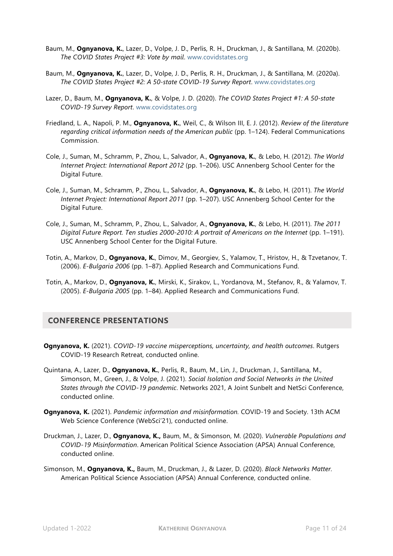- Baum, M., **Ognyanova, K.**, Lazer, D., Volpe, J. D., Perlis, R. H., Druckman, J., & Santillana, M. (2020b). *The COVID States Project #3: Vote by mail*. [www.covidstates.org](https://covidstates.org/)
- Baum, M., **Ognyanova, K.**, Lazer, D., Volpe, J. D., Perlis, R. H., Druckman, J., & Santillana, M. (2020a). *The COVID States Project #2: A 50-state COVID-19 Survey Report*. [www.covidstates.org](https://covidstates.org/)
- Lazer, D., Baum, M., **Ognyanova, K.**, & Volpe, J. D. (2020). *The COVID States Project #1: A 50-state COVID-19 Survey Report*. [www.covidstates.org](https://covidstates.org/)
- Friedland, L. A., Napoli, P. M., **Ognyanova, K.**, Weil, C., & Wilson III, E. J. (2012). *Review of the literature regarding critical information needs of the American public* (pp. 1–124). Federal Communications Commission.
- Cole, J., Suman, M., Schramm, P., Zhou, L., Salvador, A., **Ognyanova, K.**, & Lebo, H. (2012). *The World Internet Project: International Report 2012* (pp. 1–206). USC Annenberg School Center for the Digital Future.
- Cole, J., Suman, M., Schramm, P., Zhou, L., Salvador, A., **Ognyanova, K.**, & Lebo, H. (2011). *The World Internet Project: International Report 2011* (pp. 1–207). USC Annenberg School Center for the Digital Future.
- Cole, J., Suman, M., Schramm, P., Zhou, L., Salvador, A., **Ognyanova, K.**, & Lebo, H. (2011). *The 2011 Digital Future Report. Ten studies 2000-2010: A portrait of Americans on the Internet* (pp. 1–191). USC Annenberg School Center for the Digital Future.
- Totin, A., Markov, D., **Ognyanova, K.**, Dimov, M., Georgiev, S., Yalamov, T., Hristov, H., & Tzvetanov, T. (2006). *E-Bulgaria 2006* (pp. 1–87). Applied Research and Communications Fund.
- Totin, A., Markov, D., **Ognyanova, K.**, Mirski, K., Sirakov, L., Yordanova, M., Stefanov, R., & Yalamov, T. (2005). *E-Bulgaria 2005* (pp. 1–84). Applied Research and Communications Fund.

# **CONFERENCE PRESENTATIONS**

- **Ognyanova, K.** (2021). *COVID-19 vaccine misperceptions, uncertainty, and health outcomes*. Rutgers COVID-19 Research Retreat, conducted online.
- Quintana, A., Lazer, D., **Ognyanova, K.**, Perlis, R., Baum, M., Lin, J., Druckman, J., Santillana, M., Simonson, M., Green, J., & Volpe, J. (2021). *Social Isolation and Social Networks in the United States through the COVID-19 pandemic*. Networks 2021, A Joint Sunbelt and NetSci Conference, conducted online.
- **Ognyanova, K.** (2021). *Pandemic information and misinformation.* COVID-19 and Society. 13th ACM Web Science Conference (WebSci'21), conducted online.
- Druckman, J., Lazer, D., **Ognyanova, K.,** Baum, M., & Simonson, M. (2020). *Vulnerable Populations and COVID-19 Misinformation*. American Political Science Association (APSA) Annual Conference, conducted online.
- Simonson, M., **Ognyanova, K.,** Baum, M., Druckman, J., & Lazer, D. (2020). *Black Networks Matter.*  American Political Science Association (APSA) Annual Conference, conducted online.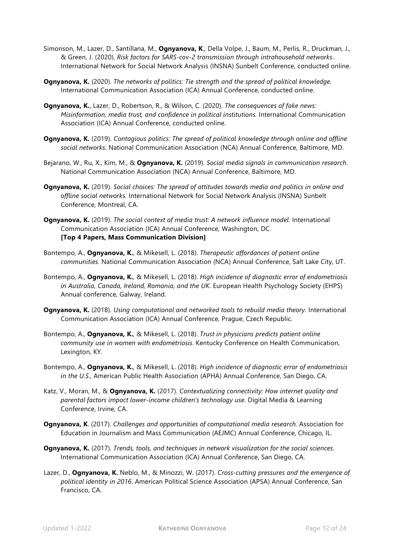- Simonson, M., Lazer, D., Santillana, M., **Ognyanova, K**., Della Volpe, J., Baum, M., Perlis, R., Druckman, J., & Green, J. (2020). *Risk factors for SARS-cov-2 transmission through intrahousehold networks*. International Network for Social Network Analysis (INSNA) Sunbelt Conference, conducted online.
- **Ognyanova, K.** (2020). *The networks of politics: Tie strength and the spread of political knowledge.* International Communication Association (ICA) Annual Conference, conducted online.
- **Ognyanova, K.**, Lazer, D., Robertson, R., & Wilson, C. (2020). *The consequences of fake news: Misinformation, media trust, and confidence in political institutions.* International Communication Association (ICA) Annual Conference, conducted online.
- **Ognyanova, K.** (2019). *Contagious politics: The spread of political knowledge through online and offline social networks*. National Communication Association (NCA) Annual Conference, Baltimore, MD.
- Bejarano, W., Ru, X., Kim, M., & **Ognyanova, K.** (2019). *Social media signals in communication research*. National Communication Association (NCA) Annual Conference, Baltimore, MD.
- **Ognyanova, K.** (2019). *Social choices: The spread of attitudes towards media and politics in online and offline social networks.* International Network for Social Network Analysis (INSNA) Sunbelt Conference, Montreal, CA.
- **Ognyanova, K.** (2019). *The social context of media trust: A network influence model.* International Communication Association (ICA) Annual Conference, Washington, DC. **[Top 4 Papers, Mass Communication Division]**
- Bontempo, A., **Ognyanova, K.**, & Mikesell, L. (2018). *Therapeutic affordances of patient online communities*. National Communication Association (NCA) Annual Conference, Salt Lake City, UT.
- Bontempo, A., **Ognyanova, K.**, & Mikesell, L. (2018). *High incidence of diagnostic error of endometriosis in Australia, Canada, Ireland, Romania, and the UK.* European Health Psychology Society (EHPS) Annual conference, Galway, Ireland.
- **Ognyanova, K.** (2018). *Using computational and networked tools to rebuild media theory.* International Communication Association (ICA) Annual Conference, Prague, Czech Republic.
- Bontempo, A., **Ognyanova, K.**, & Mikesell, L. (2018). *Trust in physicians predicts patient online community use in women with endometriosis*. Kentucky Conference on Health Communication, Lexington, KY.
- Bontempo, A., **Ognyanova, K.**, & Mikesell, L. (2018). *High incidence of diagnostic error of endometriosis in the U.S*., American Public Health Association (APHA) Annual Conference, San Diego, CA.
- Katz, V., Moran, M., & **Ognyanova, K.** (2017). *Contextualizing connectivity: How internet quality and parental factors impact lower-income children's technology use*. Digital Media & Learning Conference, Irvine, CA.
- **Ognyanova, K**. (2017). *Challenges and opportunities of computational media research.* Association for Education in Journalism and Mass Communication (AEJMC) Annual Conference, Chicago, IL.
- **Ognyanova, K.** (2017). *Trends, tools, and techniques in network visualization for the social sciences*. International Communication Association (ICA) Annual Conference, San Diego, CA.
- Lazer, D., **Ognyanova, K.** Neblo, M., & Minozzi, W. (2017). *Cross-cutting pressures and the emergence of political identity in 2016*. American Political Science Association (APSA) Annual Conference, San Francisco, CA.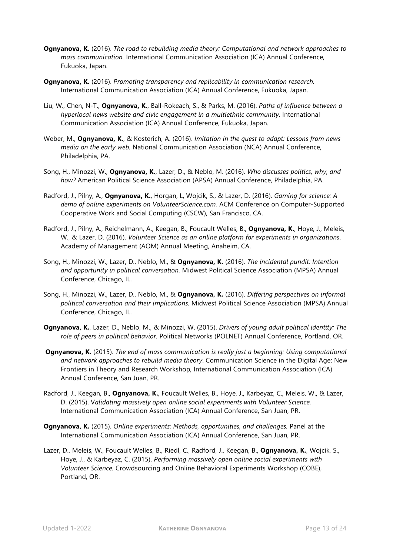- **Ognyanova, K.** (2016). *The road to rebuilding media theory: Computational and network approaches to mass communication.* International Communication Association (ICA) Annual Conference, Fukuoka, Japan.
- **Ognyanova, K.** (2016). *Promoting transparency and replicability in communication research.*  International Communication Association (ICA) Annual Conference, Fukuoka, Japan.
- Liu, W., Chen, N-T., **Ognyanova, K.**, Ball-Rokeach, S., & Parks, M. (2016). *Paths of influence between a hyperlocal news website and civic engagement in a multiethnic community*. International Communication Association (ICA) Annual Conference, Fukuoka, Japan.
- Weber, M., **Ognyanova, K.**, & Kosterich, A. (2016). *Imitation in the quest to adapt: Lessons from news media on the early web.* National Communication Association (NCA) Annual Conference, Philadelphia, PA.
- Song, H., Minozzi, W., **Ognyanova, K.**, Lazer, D., & Neblo, M. (2016). *Who discusses politics, why, and how?* American Political Science Association (APSA) Annual Conference, Philadelphia, PA.
- Radford, J., Pilny, A., **Ognyanova, K.**, Horgan, L, Wojcik, S., & Lazer, D. (2016). *Gaming for science: A demo of online experiments on VolunteerScience.com.* ACM Conference on Computer-Supported Cooperative Work and Social Computing (CSCW), San Francisco, CA.
- Radford, J., Pilny, A., Reichelmann, A., Keegan, B., Foucault Welles, B., **Ognyanova, K.**, Hoye, J., Meleis, W., & Lazer, D. (2016). *Volunteer Science as an online platform for experiments in organizations*. Academy of Management (AOM) Annual Meeting, Anaheim, CA.
- Song, H., Minozzi, W., Lazer, D., Neblo, M., & **Ognyanova, K.** (2016). *The incidental pundit: Intention and opportunity in political conversation.* Midwest Political Science Association (MPSA) Annual Conference, Chicago, IL.
- Song, H., Minozzi, W., Lazer, D., Neblo, M., & **Ognyanova, K.** (2016). *Differing perspectives on informal political conversation and their implications.* Midwest Political Science Association (MPSA) Annual Conference, Chicago, IL.
- **Ognyanova, K.**, Lazer, D., Neblo, M., & Minozzi, W. (2015). *Drivers of young adult political identity: The role of peers in political behavior.* Political Networks (POLNET) Annual Conference, Portland, OR.
- **Ognyanova, K.** (2015). *The end of mass communication is really just a beginning: Using computational and network approaches to rebuild media theory*. Communication Science in the Digital Age: New Frontiers in Theory and Research Workshop, International Communication Association (ICA) Annual Conference, San Juan, PR.
- Radford, J., Keegan, B., **Ognyanova, K.**, Foucault Welles, B., Hoye, J., Karbeyaz, C., Meleis, W., & Lazer, D. (2015). V*alidating massively open online social experiments with Volunteer Science.* International Communication Association (ICA) Annual Conference, San Juan, PR.
- **Ognyanova, K.** (2015). *Online experiments: Methods, opportunities, and challenges.* Panel at the International Communication Association (ICA) Annual Conference, San Juan, PR.
- Lazer, D., Meleis, W., Foucault Welles, B., Riedl, C., Radford, J., Keegan, B., **Ognyanova, K.**, Wojcik, S., Hoye, J., & Karbeyaz, C. (2015). *Performing massively open online social experiments with Volunteer Science.* Crowdsourcing and Online Behavioral Experiments Workshop (COBE), Portland, OR.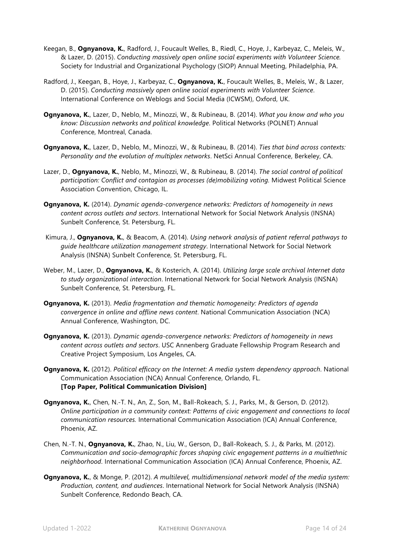- Keegan, B., **Ognyanova, K.**, Radford, J., Foucault Welles, B., Riedl, C., Hoye, J., Karbeyaz, C., Meleis, W., & Lazer, D. (2015). *Conducting massively open online social experiments with Volunteer Science.* Society for Industrial and Organizational Psychology (SIOP) Annual Meeting, Philadelphia, PA.
- Radford, J., Keegan, B., Hoye, J., Karbeyaz, C., **Ognyanova, K.**, Foucault Welles, B., Meleis, W., & Lazer, D. (2015). *Conducting massively open online social experiments with Volunteer Science*. International Conference on Weblogs and Social Media (ICWSM), Oxford, UK.
- **Ognyanova, K.**, Lazer, D., Neblo, M., Minozzi, W., & Rubineau, B. (2014). *What you know and who you know: Discussion networks and political knowledge*. Political Networks (POLNET) Annual Conference, Montreal, Canada.
- **Ognyanova, K.**, Lazer, D., Neblo, M., Minozzi, W., & Rubineau, B. (2014). *Ties that bind across contexts: Personality and the evolution of multiplex networks*. NetSci Annual Conference, Berkeley, CA.
- Lazer, D., **Ognyanova, K.**, Neblo, M., Minozzi, W., & Rubineau, B. (2014). *The social control of political participation: Conflict and contagion as processes (de)mobilizing voting.* Midwest Political Science Association Convention, Chicago, IL.
- **Ognyanova, K.** (2014). *Dynamic agenda-convergence networks: Predictors of homogeneity in news content across outlets and sectors*. International Network for Social Network Analysis (INSNA) Sunbelt Conference, St. Petersburg, FL.
- Kimura, J., **Ognyanova, K.**, & Beacom, A. (2014). *Using network analysis of patient referral pathways to guide healthcare utilization management strategy*. International Network for Social Network Analysis (INSNA) Sunbelt Conference, St. Petersburg, FL.
- Weber, M., Lazer, D., **Ognyanova, K.**, & Kosterich, A. (2014). *Utilizing large scale archival Internet data to study organizational interaction*. International Network for Social Network Analysis (INSNA) Sunbelt Conference, St. Petersburg, FL.
- **Ognyanova, K.** (2013). *Media fragmentation and thematic homogeneity: Predictors of agenda convergence in online and offline news content*. National Communication Association (NCA) Annual Conference, Washington, DC.
- **Ognyanova, K.** (2013). *Dynamic agenda-convergence networks: Predictors of homogeneity in news content across outlets and sectors*. USC Annenberg Graduate Fellowship Program Research and Creative Project Symposium, Los Angeles, CA.
- **Ognyanova, K.** (2012). *Political efficacy on the Internet: A media system dependency approach*. National Communication Association (NCA) Annual Conference, Orlando, FL. **[Top Paper, Political Communication Division]**
- **Ognyanova, K.**, Chen, N.-T. N., An, Z., Son, M., Ball-Rokeach, S. J., Parks, M., & Gerson, D. (2012). *Online participation in a community context: Patterns of civic engagement and connections to local communication resources.* International Communication Association (ICA) Annual Conference, Phoenix, AZ.
- Chen, N.-T. N., **Ognyanova, K.**, Zhao, N., Liu, W., Gerson, D., Ball-Rokeach, S. J., & Parks, M. (2012). *Communication and socio-demographic forces shaping civic engagement patterns in a multiethnic neighborhood*. International Communication Association (ICA) Annual Conference, Phoenix, AZ.
- **Ognyanova, K.**, & Monge, P. (2012). *A multilevel, multidimensional network model of the media system: Production, content, and audiences*. International Network for Social Network Analysis (INSNA) Sunbelt Conference, Redondo Beach, CA.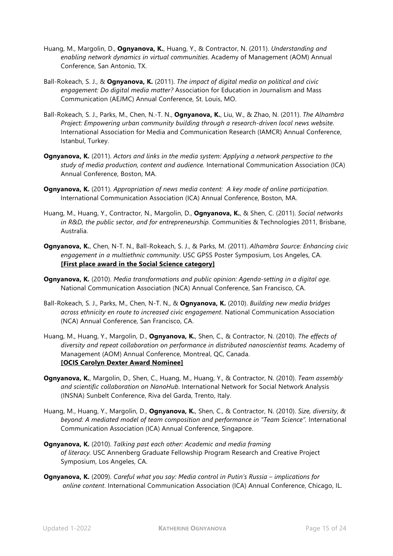- Huang, M., Margolin, D., **Ognyanova, K.**, Huang, Y., & Contractor, N. (2011). *Understanding and enabling network dynamics in virtual communities.* Academy of Management (AOM) Annual Conference, San Antonio, TX.
- Ball-Rokeach, S. J., & **Ognyanova, K.** (2011). *The impact of digital media on political and civic engagement: Do digital media matter?* Association for Education in Journalism and Mass Communication (AEJMC) Annual Conference, St. Louis, MO.
- Ball-Rokeach, S. J., Parks, M., Chen, N.-T. N., **Ognyanova, K.**, Liu, W., & Zhao, N. (2011). *The Alhambra Project: Empowering urban community building through a research-driven local news website*. International Association for Media and Communication Research (IAMCR) Annual Conference, Istanbul, Turkey.
- **Ognyanova, K.** (2011). *Actors and links in the media system: Applying a network perspective to the study of media production, content and audience.* International Communication Association (ICA) Annual Conference, Boston, MA.
- **Ognyanova, K.** (2011). *Appropriation of news media content: A key mode of online participation*. International Communication Association (ICA) Annual Conference, Boston, MA.
- Huang, M., Huang, Y., Contractor, N., Margolin, D., **Ognyanova, K.**, & Shen, C. (2011). *Social networks in R&D, the public sector, and for entrepreneurship.* Communities & Technologies 2011, Brisbane, Australia.
- **Ognyanova, K.**, Chen, N-T. N., Ball-Rokeach, S. J., & Parks, M. (2011). *Alhambra Source: Enhancing civic engagement in a multiethnic community*. USC GPSS Poster Symposium, Los Angeles, CA. **[First place award in the Social Science category]**
- **Ognyanova, K.** (2010). *Media transformations and public opinion: Agenda-setting in a digital age*. National Communication Association (NCA) Annual Conference, San Francisco, CA.
- Ball-Rokeach, S. J., Parks, M., Chen, N-T. N., & **Ognyanova, K.** (2010). *Building new media bridges across ethnicity en route to increased civic engagement*. National Communication Association (NCA) Annual Conference, San Francisco, CA.
- Huang, M., Huang, Y., Margolin, D., **Ognyanova, K.**, Shen, C., & Contractor, N. (2010). *The effects of diversity and repeat collaboration on performance in distributed nanoscientist teams.* Academy of Management (AOM) Annual Conference, Montreal, QC, Canada. **[OCIS Carolyn Dexter Award Nominee]**
- **Ognyanova, K.**, Margolin, D., Shen, C., Huang, M., Huang, Y., & Contractor, N. (2010). *Team assembly and scientific collaboration on NanoHub*. International Network for Social Network Analysis (INSNA) Sunbelt Conference, Riva del Garda, Trento, Italy.
- Huang, M., Huang, Y., Margolin, D., **Ognyanova, K.**, Shen, C., & Contractor, N. (2010). *Size, diversity, & beyond: A mediated model of team composition and performance in "Team Science".* International Communication Association (ICA) Annual Conference, Singapore.
- **Ognyanova, K.** (2010). *Talking past each other: Academic and media framing of literacy.* USC Annenberg Graduate Fellowship Program Research and Creative Project Symposium, Los Angeles, CA.
- **Ognyanova, K.** (2009). *Careful what you say: Media control in Putin's Russia – implications for online content*. International Communication Association (ICA) Annual Conference, Chicago, IL.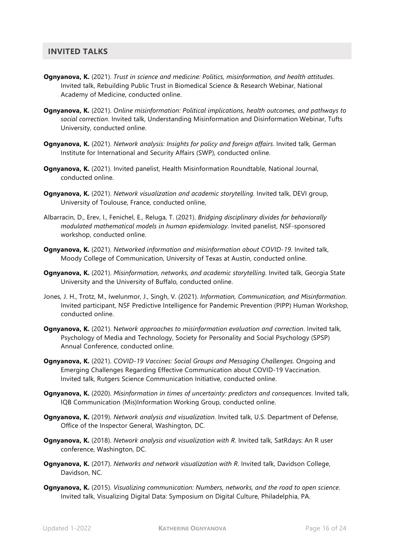### **INVITED TALKS**

- **Ognyanova, K.** (2021). *Trust in science and medicine: Politics, misinformation, and health attitudes*. Invited talk, Rebuilding Public Trust in Biomedical Science & Research Webinar, National Academy of Medicine, conducted online.
- **Ognyanova, K.** (2021). *Online misinformation: Political implications, health outcomes, and pathways to social correction*. Invited talk, Understanding Misinformation and Disinformation Webinar, Tufts University, conducted online.
- **Ognyanova, K.** (2021). *Network analysis: Insights for policy and foreign affairs*. Invited talk, German Institute for International and Security Affairs (SWP), conducted online.
- **Ognyanova, K.** (2021). Invited panelist, Health Misinformation Roundtable, National Journal, conducted online.
- **Ognyanova, K.** (2021). *Network visualization and academic storytelling.* Invited talk, DEVI group, University of Toulouse, France, conducted online,
- Albarracin, D., Erev, I., Fenichel, E., Reluga, T. (2021). *Bridging disciplinary divides for behaviorally modulated mathematical models in human epidemiology*. Invited panelist, NSF-sponsored workshop, conducted online.
- **Ognyanova, K.** (2021). *Networked information and misinformation about COVID-19.* Invited talk, Moody College of Communication, University of Texas at Austin, conducted online.
- **Ognyanova, K.** (2021). *Misinformation, networks, and academic storytelling.* Invited talk, Georgia State University and the University of Buffalo, conducted online.
- Jones, J. H., Trotz, M., Iwelunmor, J., Singh, V. (2021). *Information, Communication, and Misinformation*. Invited participant, NSF Predictive Intelligence for Pandemic Prevention (PIPP) Human Workshop, conducted online.
- **Ognyanova, K.** (2021). N*etwork approaches to misinformation evaluation and correction*. Invited talk, Psychology of Media and Technology, Society for Personality and Social Psychology (SPSP) Annual Conference, conducted online.
- **Ognyanova, K.** (2021). *COVID-19 Vaccines: Social Groups and Messaging Challenges.* Ongoing and Emerging Challenges Regarding Effective Communication about COVID-19 Vaccination. Invited talk, Rutgers Science Communication Initiative, conducted online.
- **Ognyanova, K.** (2020). *Misinformation in times of uncertainty: predictors and consequences*. Invited talk, IQB Communication (Mis)Information Working Group, conducted online.
- **Ognyanova, K.** (2019). *Network analysis and visualization.* Invited talk, U.S. Department of Defense, Office of the Inspector General, Washington, DC.
- **Ognyanova, K.** (2018). *Network analysis and visualization with R.* Invited talk, SatRdays: An R user conference, Washington, DC.
- **Ognyanova, K.** (2017). *Networks and network visualization with R*. Invited talk, Davidson College, Davidson, NC.
- **Ognyanova, K.** (2015). *Visualizing communication: Numbers, networks, and the road to open science*. Invited talk, Visualizing Digital Data: Symposium on Digital Culture, Philadelphia, PA.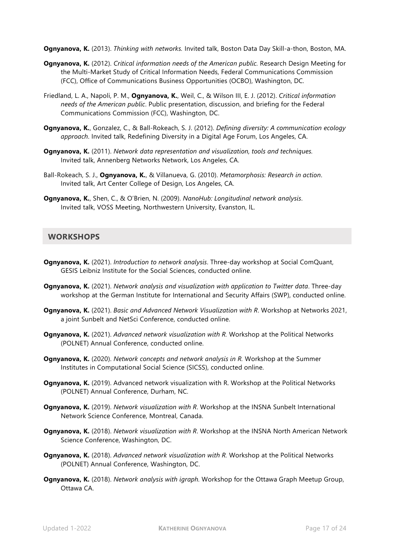**Ognyanova, K.** (2013). *Thinking with networks.* Invited talk, Boston Data Day Skill-a-thon, Boston, MA.

- **Ognyanova, K.** (2012). *Critical information needs of the American public.* Research Design Meeting for the Multi-Market Study of Critical Information Needs, Federal Communications Commission (FCC), Office of Communications Business Opportunities (OCBO), Washington, DC.
- Friedland, L. A., Napoli, P. M., **Ognyanova, K.**, Weil, C., & Wilson III, E. J. (2012). *Critical information needs of the American public*. Public presentation, discussion, and briefing for the Federal Communications Commission (FCC), Washington, DC.
- **Ognyanova, K.**, Gonzalez, C., & Ball-Rokeach, S. J. (2012). *Defining diversity: A communication ecology approach*. Invited talk, Redefining Diversity in a Digital Age Forum, Los Angeles, CA.
- **Ognyanova, K.** (2011). *Network data representation and visualization, tools and techniques.*  Invited talk, Annenberg Networks Network, Los Angeles, CA.
- Ball-Rokeach, S. J., **Ognyanova, K.**, & Villanueva, G. (2010). *Metamorphosis: Research in action*. Invited talk, Art Center College of Design, Los Angeles, CA.
- **Ognyanova, K.**, Shen, C., & O'Brien, N. (2009). *NanoHub: Longitudinal network analysis*. Invited talk, VOSS Meeting, Northwestern University, Evanston, IL.

## **WORKSHOPS**

- **Ognyanova, K.** (2021). *Introduction to network analysis*. Three-day workshop at Social ComQuant, GESIS Leibniz Institute for the Social Sciences, conducted online.
- **Ognyanova, K.** (2021). *Network analysis and visualization with application to Twitter data*. Three-day workshop at the German Institute for International and Security Affairs (SWP), conducted online.
- **Ognyanova, K.** (2021). *Basic and Advanced Network Visualization with R*. Workshop at Networks 2021, a joint Sunbelt and NetSci Conference, conducted online.
- **Ognyanova, K.** (2021). *Advanced network visualization with R.* Workshop at the Political Networks (POLNET) Annual Conference, conducted online.
- **Ognyanova, K.** (2020). *Network concepts and network analysis in R.* Workshop at the Summer Institutes in Computational Social Science (SICSS), conducted online.
- **Ognyanova, K.** (2019). Advanced network visualization with R. Workshop at the Political Networks (POLNET) Annual Conference, Durham, NC.
- **Ognyanova, K.** (2019). *Network visualization with R*. Workshop at the INSNA Sunbelt International Network Science Conference, Montreal, Canada.
- **Ognyanova, K.** (2018). *Network visualization with R*. Workshop at the INSNA North American Network Science Conference, Washington, DC.
- **Ognyanova, K.** (2018). *Advanced network visualization with R.* Workshop at the Political Networks (POLNET) Annual Conference, Washington, DC.
- **Ognyanova, K.** (2018). *Network analysis with igraph.* Workshop for the Ottawa Graph Meetup Group, Ottawa CA.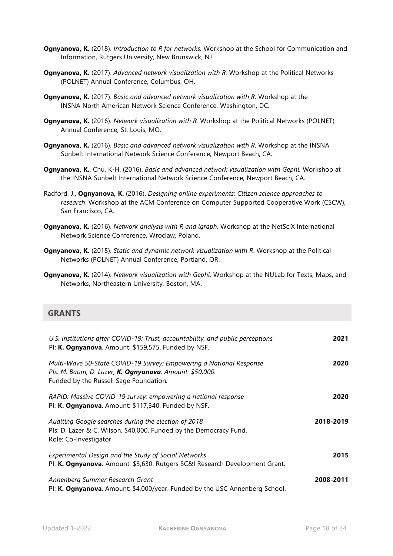- **Ognyanova, K.** (2018). *Introduction to R for networks.* Workshop at the School for Communication and Information, Rutgers University, New Brunswick, NJ.
- **Ognyanova, K.** (2017). *Advanced network visualization with R.* Workshop at the Political Networks (POLNET) Annual Conference, Columbus, OH.
- **Ognyanova, K.** (2017). *Basic and advanced network visualization with R*. Workshop at the INSNA North American Network Science Conference, Washington, DC.
- **Ognyanova, K.** (2016). *Network visualization with R.* Workshop at the Political Networks (POLNET) Annual Conference, St. Louis, MO.
- **Ognyanova, K.** (2016). *Basic and advanced network visualization with R*. Workshop at the INSNA Sunbelt International Network Science Conference, Newport Beach, CA.
- **Ognyanova, K.**, Chu, K-H. (2016). *Basic and advanced network visualization with Gephi.* Workshop at the INSNA Sunbelt International Network Science Conference, Newport Beach, CA.
- Radford, J., **Ognyanova, K.** (2016). *Designing online experiments: Citizen science approaches to research*. Workshop at the ACM Conference on Computer Supported Cooperative Work (CSCW), San Francisco, CA.
- **Ognyanova, K.** (2016). *Network analysis with R and igraph*. Workshop at the NetSciX International Network Science Conference, Wroclaw, Poland.
- **Ognyanova, K.** (2015). *Static and dynamic network visualization with R*. Workshop at the Political Networks (POLNET) Annual Conference, Portland, OR.
- **Ognyanova, K.** (2014). *Network visualization with Gephi.* Workshop at the NULab for Texts, Maps, and Networks, Northeastern University, Boston, MA.

# **GRANTS**

| U.S. institutions after COVID-19: Trust, accountability, and public perceptions<br>Pl: K. Ognyanova. Amount: \$159,575. Funded by NSF.                                   | 2021      |
|--------------------------------------------------------------------------------------------------------------------------------------------------------------------------|-----------|
| Multi-Wave 50-State COVID-19 Survey: Empowering a National Response<br>Pls: M. Baum, D. Lazer, K. Ognyanova. Amount: \$50,000.<br>Funded by the Russell Sage Foundation. | 2020      |
| RAPID: Massive COVID-19 survey: empowering a national response<br>Pl: K. Ognyanova. Amount: \$117,340. Funded by NSF.                                                    | 2020      |
| Auditing Google searches during the election of 2018<br>Pls: D. Lazer & C. Wilson. \$40,000. Funded by the Democracy Fund.<br>Role: Co-Investigator                      | 2018-2019 |
| Experimental Design and the Study of Social Networks<br>PI: K. Ognyanova. Amount: \$3,630. Rutgers SC&I Research Development Grant.                                      | 2015      |
| Annenberg Summer Research Grant<br>PI: K. Ognyanova. Amount: \$4,000/year. Funded by the USC Annenberg School.                                                           | 2008-2011 |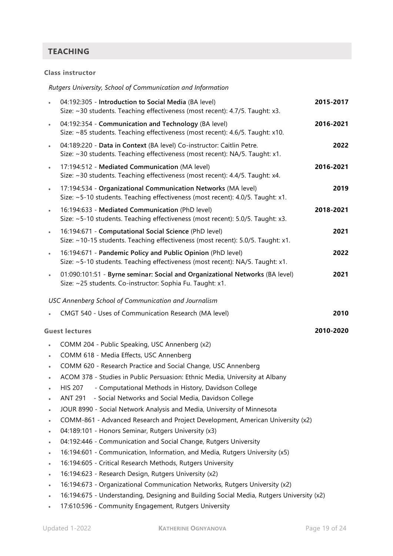# **TEACHING**

#### **Class instructor**

|           | Rutgers University, School of Communication and Information                                                                                          |           |
|-----------|------------------------------------------------------------------------------------------------------------------------------------------------------|-----------|
|           | 04:192:305 - Introduction to Social Media (BA level)<br>Size: ~30 students. Teaching effectiveness (most recent): 4.7/5. Taught: x3.                 | 2015-2017 |
| $\bullet$ | 04:192:354 - Communication and Technology (BA level)<br>Size: ~85 students. Teaching effectiveness (most recent): 4.6/5. Taught: x10.                | 2016-2021 |
| $\bullet$ | 04:189:220 - Data in Context (BA level) Co-instructor: Caitlin Petre.<br>Size: ~30 students. Teaching effectiveness (most recent): NA/5. Taught: x1. | 2022      |
| $\bullet$ | 17:194:512 - Mediated Communication (MA level)<br>Size: ~30 students. Teaching effectiveness (most recent): 4.4/5. Taught: x4.                       | 2016-2021 |
| $\bullet$ | 17:194:534 - Organizational Communication Networks (MA level)<br>Size: ~5-10 students. Teaching effectiveness (most recent): 4.0/5. Taught: x1.      | 2019      |
| $\bullet$ | 16:194:633 - Mediated Communication (PhD level)<br>Size: ~5-10 students. Teaching effectiveness (most recent): 5.0/5. Taught: x3.                    | 2018-2021 |
| $\bullet$ | 16:194:671 - Computational Social Science (PhD level)<br>Size: ~10-15 students. Teaching effectiveness (most recent): 5.0/5. Taught: x1.             | 2021      |
| $\bullet$ | 16:194:671 - Pandemic Policy and Public Opinion (PhD level)<br>Size: ~5-10 students. Teaching effectiveness (most recent): NA/5. Taught: x1.         | 2022      |
|           | 01:090:101:51 - Byrne seminar: Social and Organizational Networks (BA level)<br>Size: ~25 students. Co-instructor: Sophia Fu. Taught: x1.            | 2021      |
|           | USC Annenberg School of Communication and Journalism                                                                                                 |           |
|           | CMGT 540 - Uses of Communication Research (MA level)                                                                                                 | 2010      |
|           | <b>Guest lectures</b>                                                                                                                                | 2010-2020 |
| $\bullet$ | COMM 204 - Public Speaking, USC Annenberg (x2)                                                                                                       |           |
| $\bullet$ | COMM 618 - Media Effects, USC Annenberg                                                                                                              |           |
|           | COMM 620 - Research Practice and Social Change, USC Annenberg                                                                                        |           |
|           | ACOM 378 - Studies in Public Persuasion: Ethnic Media, University at Albany                                                                          |           |
|           | - Computational Methods in History, Davidson College<br><b>HIS 207</b>                                                                               |           |
|           | - Social Networks and Social Media, Davidson College<br><b>ANT 291</b>                                                                               |           |
| $\bullet$ | JOUR 8990 - Social Network Analysis and Media, University of Minnesota                                                                               |           |
| $\bullet$ | COMM-861 - Advanced Research and Project Development, American University (x2)                                                                       |           |
| $\bullet$ | 04:189:101 - Honors Seminar, Rutgers University (x3)                                                                                                 |           |
| $\bullet$ | 04:192:446 - Communication and Social Change, Rutgers University                                                                                     |           |
| $\bullet$ | 16:194:601 - Communication, Information, and Media, Rutgers University (x5)                                                                          |           |
| $\bullet$ | 16:194:605 - Critical Research Methods, Rutgers University                                                                                           |           |
| $\bullet$ | 16:194:623 - Research Design, Rutgers University (x2)                                                                                                |           |
|           | 16:194:673 - Organizational Communication Networks, Rutgers University (x2)                                                                          |           |
| $\bullet$ | 16:194:675 - Understanding, Designing and Building Social Media, Rutgers University (x2)                                                             |           |

• 17:610:596 - Community Engagement, Rutgers University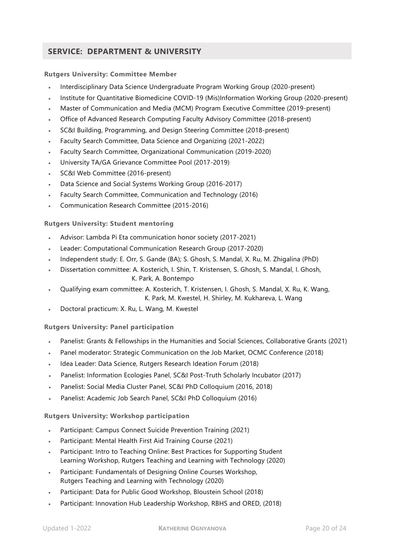# **SERVICE: DEPARTMENT & UNIVERSITY**

#### **Rutgers University: Committee Member**

- Interdisciplinary Data Science Undergraduate Program Working Group (2020-present)
- Institute for Quantitative Biomedicine COVID-19 (Mis)Information Working Group (2020-present)
- Master of Communication and Media (MCM) Program Executive Committee (2019-present)
- Office of Advanced Research Computing Faculty Advisory Committee (2018-present)
- SC&I Building, Programming, and Design Steering Committee (2018-present)
- Faculty Search Committee, Data Science and Organizing (2021-2022)
- Faculty Search Committee, Organizational Communication (2019-2020)
- University TA/GA Grievance Committee Pool (2017-2019)
- SC&I Web Committee (2016-present)
- Data Science and Social Systems Working Group (2016-2017)
- Faculty Search Committee, Communication and Technology (2016)
- Communication Research Committee (2015-2016)

#### **Rutgers University: Student mentoring**

- Advisor: Lambda Pi Eta communication honor society (2017-2021)
- Leader: Computational Communication Research Group (2017-2020)
- Independent study: E. Orr, S. Gande (BA); S. Ghosh, S. Mandal, X. Ru, M. Zhigalina (PhD)
- Dissertation committee: A. Kosterich, I. Shin, T. Kristensen, S. Ghosh, S. Mandal, I. Ghosh, K. Park, A. Bontempo
- Qualifying exam committee: A. Kosterich, T. Kristensen, I. Ghosh, S. Mandal, X. Ru, K. Wang, K. Park, M. Kwestel, H. Shirley, M. Kukhareva, L. Wang
- Doctoral practicum: X. Ru, L. Wang, M. Kwestel

#### **Rutgers University: Panel participation**

- Panelist: Grants & Fellowships in the Humanities and Social Sciences, Collaborative Grants (2021)
- Panel moderator: Strategic Communication on the Job Market, OCMC Conference (2018)
- Idea Leader: Data Science, Rutgers Research Ideation Forum (2018)
- Panelist: Information Ecologies Panel, SC&I Post-Truth Scholarly Incubator (2017)
- Panelist: Social Media Cluster Panel, SC&I PhD Colloquium (2016, 2018)
- Panelist: Academic Job Search Panel, SC&I PhD Colloquium (2016)

#### **Rutgers University: Workshop participation**

- Participant: Campus Connect Suicide Prevention Training (2021)
- Participant: Mental Health First Aid Training Course (2021)
- Participant: Intro to Teaching Online: Best Practices for Supporting Student Learning Workshop, Rutgers Teaching and Learning with Technology (2020)
- Participant: Fundamentals of Designing Online Courses Workshop, Rutgers Teaching and Learning with Technology (2020)
- Participant: Data for Public Good Workshop, Bloustein School (2018)
- Participant: Innovation Hub Leadership Workshop, RBHS and ORED, (2018)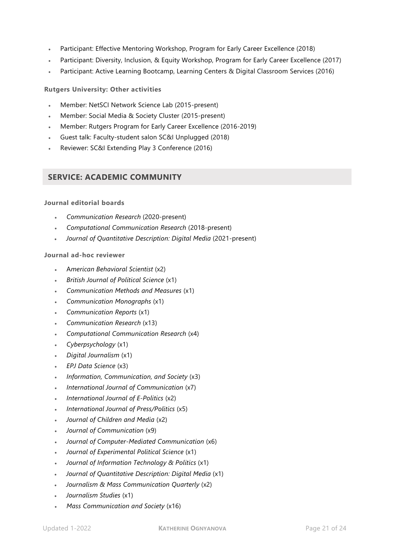- Participant: Effective Mentoring Workshop, Program for Early Career Excellence (2018)
- Participant: Diversity, Inclusion, & Equity Workshop, Program for Early Career Excellence (2017)
- Participant: Active Learning Bootcamp, Learning Centers & Digital Classroom Services (2016)

#### **Rutgers University: Other activities**

- Member: NetSCI Network Science Lab (2015-present)
- Member: Social Media & Society Cluster (2015-present)
- Member: Rutgers Program for Early Career Excellence (2016-2019)
- Guest talk: Faculty-student salon SC&I Unplugged (2018)
- Reviewer: SC&I Extending Play 3 Conference (2016)

# **SERVICE: ACADEMIC COMMUNITY**

#### **Journal editorial boards**

- *Communication Research* (2020-present)
- *Computational Communication Research* (2018-present)
- *Journal of Quantitative Description: Digital Media* (2021-present)

#### **Journal ad-hoc reviewer**

- A*merican Behavioral Scientist* (x2)
- *British Journal of Political Science* (x1)
- *Communication Methods and Measures* (x1)
- *Communication Monographs* (x1)
- *Communication Reports* (x1)
- *Communication Research* (x13)
- *Computational Communication Research* (x4)
- *Cyberpsychology* (x1)
- *Digital Journalism* (x1)
- *EPJ Data Science* (x3)
- *Information, Communication, and Society* (x3)
- *International Journal of Communication* (x7)
- *International Journal of E-Politics* (x2)
- *International Journal of Press/Politics* (x5)
- *Journal of Children and Media* (x2)
- *Journal of Communication* (x9)
- *Journal of Computer-Mediated Communication* (x6)
- *Journal of Experimental Political Science* (x1)
- *Journal of Information Technology & Politics* (x1)
- *Journal of Quantitative Description: Digital Media* (x1)
- *Journalism & Mass Communication Quarterly* (x2)
- *Journalism Studies* (x1)
- *Mass Communication and Society* (x16)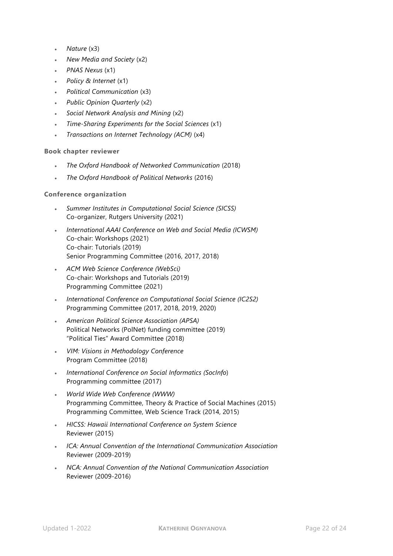- *Nature* (x3)
- *New Media and Society* (x2)
- *PNAS Nexus* (x1)
- *Policy & Internet* (x1)
- *Political Communication* (x3)
- *Public Opinion Quarterly* (x2)
- *Social Network Analysis and Mining* (x2)
- *Time-Sharing Experiments for the Social Sciences* (x1)
- *Transactions on Internet Technology (ACM)* (x4)

#### **Book chapter reviewer**

- *The Oxford Handbook of Networked Communication* (2018)
- *The Oxford Handbook of Political Networks* (2016)

#### **Conference organization**

- *Summer Institutes in Computational Social Science (SICSS)* Co-organizer, Rutgers University (2021)
- *International AAAI Conference on Web and Social Media (ICWSM)* Co-chair: Workshops (2021) Co-chair: Tutorials (2019) Senior Programming Committee (2016, 2017, 2018)
- *ACM Web Science Conference (WebSci)* Co-chair: Workshops and Tutorials (2019) Programming Committee (2021)
- *International Conference on Computational Social Science (IC2S2)* Programming Committee (2017, 2018, 2019, 2020)
- *American Political Science Association (APSA)* Political Networks (PolNet) funding committee (2019) "Political Ties" Award Committee (2018)
- *VIM: Visions in Methodology Conference* Program Committee (2018)
- *International Conference on Social Informatics (SocInfo*) Programming committee (2017)
- *World Wide Web Conference (WWW)* Programming Committee, Theory & Practice of Social Machines (2015) Programming Committee, Web Science Track (2014, 2015)
- *HICSS: Hawaii International Conference on System Science* Reviewer (2015)
- *ICA: Annual Convention of the International Communication Association* Reviewer (2009-2019)
- *NCA: Annual Convention of the National Communication Association*  Reviewer (2009-2016)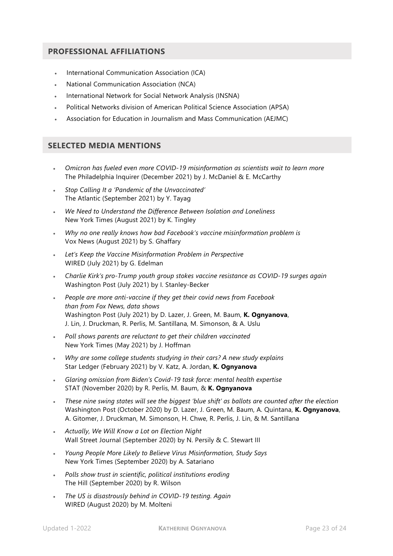## **PROFESSIONAL AFFILIATIONS**

- International Communication Association (ICA)
- National Communication Association (NCA)
- International Network for Social Network Analysis (INSNA)
- Political Networks division of American Political Science Association (APSA)
- Association for Education in Journalism and Mass Communication (AEJMC)

## **SELECTED MEDIA MENTIONS**

- *Omicron has fueled even more COVID-19 misinformation as scientists wait to learn more* The Philadelphia Inquirer (December 2021) by J. McDaniel & E. McCarthy
- *Stop Calling It a 'Pandemic of the Unvaccinated'* The Atlantic (September 2021) by Y. Tayag
- *We Need to Understand the Difference Between Isolation and Loneliness* New York Times (August 2021) by K. Tingley
- *Why no one really knows how bad Facebook's vaccine misinformation problem is* Vox News (August 2021) by S. Ghaffary
- *Let's Keep the Vaccine Misinformation Problem in Perspective* WIRED (July 2021) by G. Edelman
- *Charlie Kirk's pro-Trump youth group stokes vaccine resistance as COVID-19 surges again* Washington Post (July 2021) by I. Stanley-Becker
- *People are more anti-vaccine if they get their covid news from Facebook than from Fox News, data shows* Washington Post (July 2021) by D. Lazer, J. Green, M. Baum, **K. Ognyanova**, J. Lin, J. Druckman, R. Perlis, M. Santillana, M. Simonson, & A. Uslu
- *Poll shows parents are reluctant to get their children vaccinated* New York Times (May 2021) by J. Hoffman
- *Why are some college students studying in their cars? A new study explains* Star Ledger (February 2021) by V. Katz, A. Jordan, **K. Ognyanova**
- *Glaring omission from Biden's Covid-19 task force: mental health expertise* STAT (November 2020) by R. Perlis, M. Baum, & **K. Ognyanova**
- *These nine swing states will see the biggest 'blue shift' as ballots are counted after the election* Washington Post (October 2020) by D. Lazer, J. Green, M. Baum, A. Quintana, **K. Ognyanova**, A. Gitomer, J. Druckman, M. Simonson, H. Chwe, R. Perlis, J. Lin, & M. Santillana
- *Actually, We Will Know a Lot on Election Night* Wall Street Journal (September 2020) by N. Persily & C. Stewart III
- *Young People More Likely to Believe Virus Misinformation, Study Says* New York Times (September 2020) by A. Satariano
- *Polls show trust in scientific, political institutions eroding* The Hill (September 2020) by R. Wilson
- *The US is disastrously behind in COVID-19 testing. Again* WIRED (August 2020) by M. Molteni